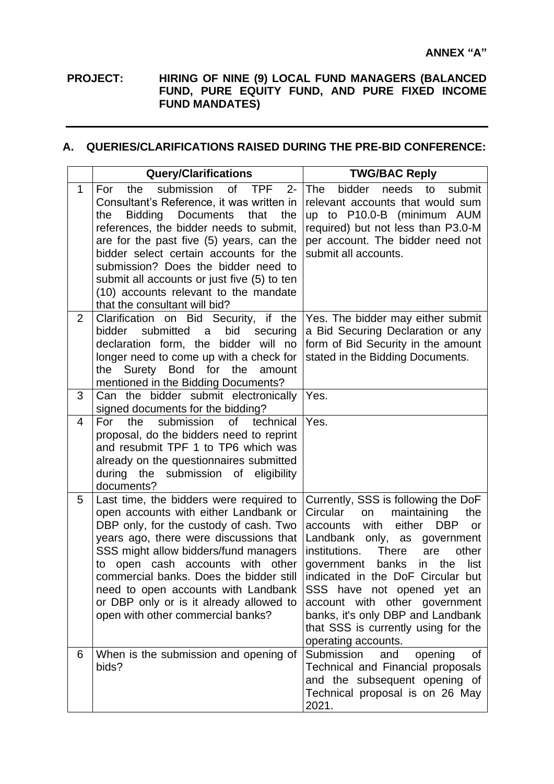## **PROJECT: HIRING OF NINE (9) LOCAL FUND MANAGERS (BALANCED FUND, PURE EQUITY FUND, AND PURE FIXED INCOME FUND MANDATES)**

## **A. QUERIES/CLARIFICATIONS RAISED DURING THE PRE-BID CONFERENCE:**

|                | <b>Query/Clarifications</b>                                                                                                                                                                                                                                                                                                                                                                                                                                            | <b>TWG/BAC Reply</b>                                                                                                                                                                                                                                                                                                                                                                                                                                                    |
|----------------|------------------------------------------------------------------------------------------------------------------------------------------------------------------------------------------------------------------------------------------------------------------------------------------------------------------------------------------------------------------------------------------------------------------------------------------------------------------------|-------------------------------------------------------------------------------------------------------------------------------------------------------------------------------------------------------------------------------------------------------------------------------------------------------------------------------------------------------------------------------------------------------------------------------------------------------------------------|
| 1              | submission<br><b>of</b><br><b>TPF</b><br>the<br>$2 -$<br>For<br>Consultant's Reference, it was written in<br><b>Bidding</b><br><b>Documents</b><br>the<br>that<br>the<br>references, the bidder needs to submit,<br>are for the past five (5) years, can the<br>bidder select certain accounts for the<br>submission? Does the bidder need to<br>submit all accounts or just five (5) to ten<br>(10) accounts relevant to the mandate<br>that the consultant will bid? | bidder<br><b>The</b><br>needs<br>to<br>submit<br>relevant accounts that would sum<br>up to P10.0-B (minimum AUM<br>required) but not less than P3.0-M<br>per account. The bidder need not<br>submit all accounts.                                                                                                                                                                                                                                                       |
| $\overline{2}$ | Clarification on Bid Security, if the<br>submitted<br>bid<br>bidder<br>a<br>securing<br>declaration form, the bidder will<br>no<br>longer need to come up with a check for<br>the Surety Bond for the<br>amount<br>mentioned in the Bidding Documents?                                                                                                                                                                                                                 | Yes. The bidder may either submit<br>a Bid Securing Declaration or any<br>form of Bid Security in the amount<br>stated in the Bidding Documents.                                                                                                                                                                                                                                                                                                                        |
| 3              | Can the bidder submit electronically<br>signed documents for the bidding?                                                                                                                                                                                                                                                                                                                                                                                              | Yes.                                                                                                                                                                                                                                                                                                                                                                                                                                                                    |
| 4              | submission<br>For<br>the<br><b>of</b><br>technical<br>proposal, do the bidders need to reprint<br>and resubmit TPF 1 to TP6 which was<br>already on the questionnaires submitted<br>the submission of eligibility<br>during<br>documents?                                                                                                                                                                                                                              | Yes.                                                                                                                                                                                                                                                                                                                                                                                                                                                                    |
| 5              | Last time, the bidders were required to<br>open accounts with either Landbank or<br>DBP only, for the custody of cash. Two<br>years ago, there were discussions that<br>SSS might allow bidders/fund managers<br>open cash accounts with other<br>to<br>commercial banks. Does the bidder still<br>need to open accounts with Landbank<br>or DBP only or is it already allowed to<br>open with other commercial banks?                                                 | Currently, SSS is following the DoF<br>Circular<br>maintaining<br>the<br>on<br>either<br>accounts<br>with<br><b>DBP</b><br>or<br>Landbank only, as<br>government<br>institutions.<br><b>There</b><br>other<br>are<br>government<br>banks<br>the<br>list<br>in<br>indicated in the DoF Circular but<br>SSS have not opened yet an<br>other government<br>account with<br>banks, it's only DBP and Landbank<br>that SSS is currently using for the<br>operating accounts. |
| 6              | When is the submission and opening of<br>bids?                                                                                                                                                                                                                                                                                                                                                                                                                         | opening<br>Submission<br>and<br>οf<br>Technical and Financial proposals<br>and the subsequent opening of<br>Technical proposal is on 26 May<br>2021.                                                                                                                                                                                                                                                                                                                    |